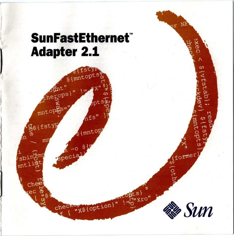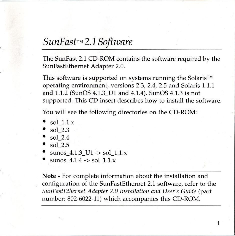#### . *SunFast™2.1 Software*

The SunFast 2.1 CD-ROM contains the software required by the SunFastEthernet Adapter 2.0.

This software is supported on systems running the Solaris<sup>TM</sup> operating environment, versions 2.3, 2.4, 2.5 and Solaris 1.1.1 and 1.1.2 (SunOS 4.1.3\_Ul and 4.1.4). SunOS 4.1.3 is not supported. This CD insert describes how to install the software.

You will see the following directories on the CD-ROM:

- sol 1.1.x
- sol 2.3

'

- sol 2.4
- sol 2.5
- $sunos_4.1.3$  Ul  $\rightarrow$  sol 1.1.x
- sunos  $4.1.4$  -> sol  $1.1.x$

**Note** - For complete information about the installation and configuration of the SunFastEthernet 2.1 software, refer to the *SunFastEthernet Adapter 2.0 Installation and User's Guide* (part number: 802-6022-11) which accompanies this CD-ROM.

1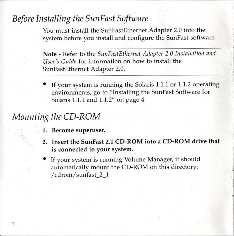# *Before Installing the SunFast Software*

You must install the SunFastEthernet Adapter 2.0 into the system before you install and configure the SunFast software. l

I

I

j

I

**1** 

•

**Note** - Refer to the *SunFastEthernet Adapter 2.0 Installation and User's Guide* for information on how to install the SunFastEthemet Adapter 2.0.

If your system is running the Solaris 1.1.1 or 1.1.2 operating environments, go to "Installing the SunFast Software for Solaris 1.1.1 and 1.1.2" on page 4.

# *Mounting the* CD-ROM

**1. Become superuser.** 

- **2. Insert the SunFast 2.1 CD-ROM into a CD-ROM drive that is connected to your system.**
- If your system is running Volume Manager, it should automatically mount the CD-ROM on this directory: / cdrom/sunfast\_2\_1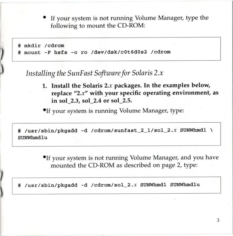If your system is not running Volume Manager, type the following to mount the CD-ROM:

# mkdir /cdrom # mount -F hsfs -o ro /dev/dsk/c0t6d0s2 /cdrom

## *Installing the SunFast Software for Solaris 2.x*

**1. Install the Solaris** 2.x **packages. In the examples below, replace** "2.x" **with your specific operating environment, as in sol\_2.3, sol\_2.4 or sol\_2.5.** 

•If your system is running Volume Manager, type:

# **/usr/sbin/pkgadd -d /cdrom/sunfast\_2\_1/so1\_ 2. x SUNWhmdl** \ **SUNWhmdlu** 

> •If your system is not running Volume Manager, and you have mounted the CD-ROM as described on page 2, type:

# **/usr/sbin/pkgadd -d /cdrom/so1\_2 . x SUNWhmdl SUNWhmdlu**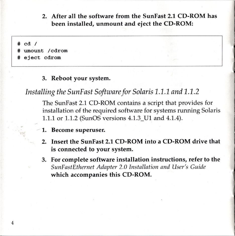2. After all the software from the SunFast 2.1 CD-ROM has been installed, unmount and eject the CD-ROM:

# cd / # **umount /cdrom**  # **eject cdrom** 

### **3. Reboot your system.**

### *Installing the SunFast Software for Solaris 1.1.1 and 1.1.2*

The SunFast 2.1 CD-ROM contains a script that provides for installation of the required software for systems running Solaris 1.1.1 or 1.1.2 (SunOS versions 4.l.3\_Ul and 4.1.4) .

1. Become superuser.

- **2. Insert the SunFast 2.1 CD-ROM into a CD-ROM drive that is connected to your system.**
- **3. For complete software installation instructions, refer to the**  *S1-1nFastEtJ1ernet Adapter* 2.0 *Installation and User's Guide*  **which accompanies this CD-ROM.**

•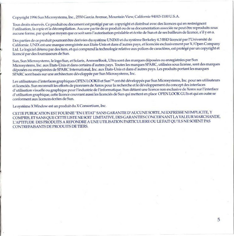Copyright 1996 Sun Microsystems, Inc., 2550 Garcia Avenue, Mountain View, Californie 94043-1100 U.S.A.

Tous droits réservés. Ce produit ou document est protégé par un copyright et distribué avec des licences qui en restreignent l'utilisation, la copie et la décompilation. Aucune partie de ce produit ou de sa documentation associée ne peut être reproduits sous aucune forme, par quelque moyen que ce soit sans l'autorisation préalable et écrite de Sun et de ses bailleurs de licence, s'il y en a.

Des parties de ce produit pourront être derivées du système UNIX® et du système Berkeley 4.3 BSD licencié par l'Université de Californie. UNIX est une marque enregistrée aux Etats-Unis et dans d'autres pays, et licenciée exclusivement par X/Open Company Ltd. Le logiciel détenu par des tiers, et qui comprend la technologie relative aux polices de caractères, est protégé par un copyright et licencié par des fournisseurs de Sun.

Sun, Sun Microsystems, le logo Sun, et Solaris, AnswerBook, Ultra sont des marques déposées ou enregistrées par Sun Microsystems, Inc. aux Etats-Unis et dans certains d'autres pays. Toutes les marques SPARC, utilisées sous license, sont des marques déposées ou enregistrées de SPARC International, Inc. aux États-Unis et dans d'autres pays. Les produits portant les marques SPARC sont basés sur une architecture développée par Sun Microsystems, Inc.

Les utilisateurs d'interfaces graphiques OPEN LOOK® et Sun™ ont été développés par Sun Microsystems, Inc. pour ses utilisateurs et licenciés. Sun reconnaît les efforts de pionniers de Xerox pour la recherche et le développement du concept des interfaces d'utilisation visuelle ou graphique pour l'industrie de l'informatique. Sun détient une licence non exclusive de Xerox sur l'interface d'utilisation graphique, cette licence couvrant aussi les licenciés de Sun qui mettent en place OPEN LOOK GUIs et qui en outre se conforment aux licences écrites de Sun.

Le système X Window est un produit du X Consortium, Inc.

CETTE PUBLICATION EST FOURNIE "EN L'ETAT" SANS GARANTIE D'AUCUNE SORTE, NI EXPRESSE NI IMPLICITE, Y COMPRIS, ET SANS QUE CETTE LISTE NE SOIT LIMITATIVE, DES GARANTIES CONCERNANT LA VALEUR MARCHANDE, L'APTITUDE DES PRODUITS A REPONDRE A UNE UTILISATION PARTICULIERE OU LE FAIT QU'ILS NE SOIENT PAS CONTREFAISANTS DE PRODUITS DE TIERS.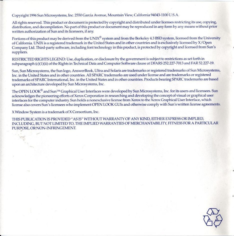Copyright 1996 Sun Microsystems, Inc. 2550 Garcia Avenue, Mountain View, California 94043-1100 U.S.A.

All rights reserved. This product or document is protected by copyright and distributed under licenses restricting its use, copying, distribution, and decompilation. No part of this product or document may be reproduced in any form by any means without prior written authorization of Sun and its licensors, if any.

Portions of this product may be derived from the UNIX® system and from the Berkeley 4.3 BSD system, licensed from the University of California. UNIX is a registered trademark in the United States and in other countries and is exclusively licensed by  $X/O$  pen Company Ltd. Third-party software, including font technology in this product, is protected by copyright and licensed from Sun's suppliers.

RESTRICTED RIGHTS LEGEND: Use, duplication, or disclosure by the government is subject to restrictions as set forth in subparagraph {c){l ){ii) of the Rights in Technical Data and Computer Software clause at DFARS 252.227-7013 and FAR 52.227-19.

Sun, Sun Microsystems, the Sun logo, AnswerBook, Ultra and Solaris are trademarks or registered trademarks of Sun Microsystems, Inc. in the United States and in other countries. All SPARC trademarks are used under license and are trademarks or registered trademarks of SPARC international, Inc. in the United States and in other countries. Products bearing SPARC trademarks are based upon an architecture developed by Sun Microsystems, Inc.

The OPEN LOOK<sup>®</sup> and Sun™ Graphical User Interfaces were developed by Sun Microsystems, Inc. for its users and licensees. Sun acknowledges the pioneering efforts of Xerox Corporation in researching and developing the concept of visual or graphical user interfaces for the computer industry. Sun holds a nonexclusive license from Xerox to the Xerox Graphical User Interface, which license also covers Sun's licensees who implement OPEN LOOK GUIs and otherwise comply with Sun's written license agreements.

X Window System is a trademark of X Consortium, Inc.

TH IS PUBLICATION JS PROVIDED" AS IS" WITHOUT WARRANTY OF ANY KIND, EITHER EXPRESS OR IMPLIED, INCLUDING, BUT NOT LIMITED TO, THE IMPLIED WARRANTIES OF MERCHANTABILITY, FITNESS FOR A PARTICULAR PURPOSE, OR NON-INFRINGEMENT.

•